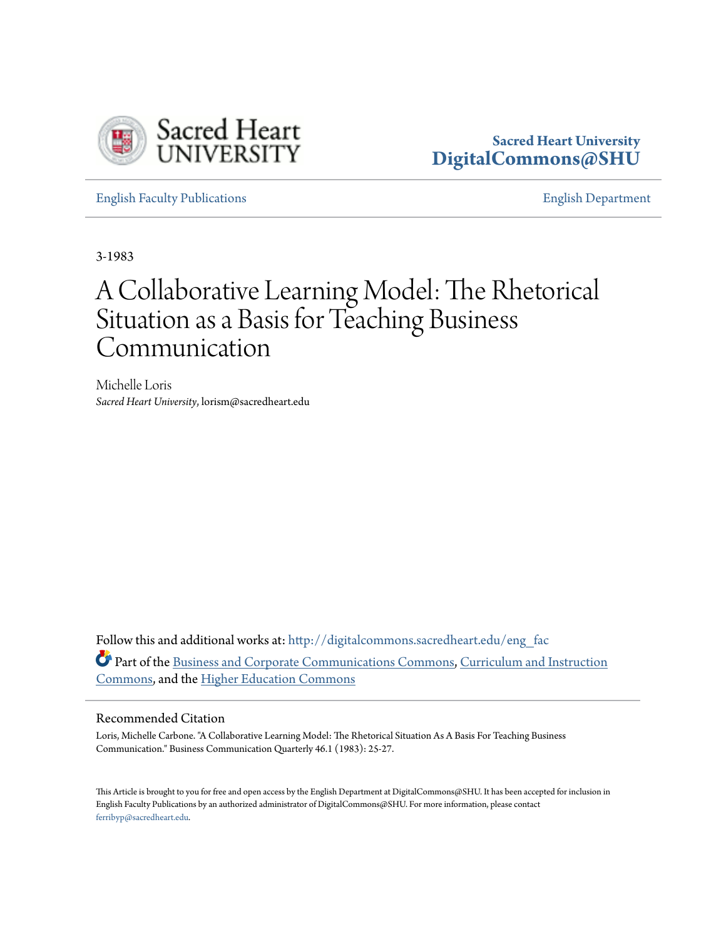

## **Sacred Heart University [DigitalCommons@SHU](http://digitalcommons.sacredheart.edu?utm_source=digitalcommons.sacredheart.edu%2Feng_fac%2F82&utm_medium=PDF&utm_campaign=PDFCoverPages)**

[English Faculty Publications](http://digitalcommons.sacredheart.edu/eng_fac?utm_source=digitalcommons.sacredheart.edu%2Feng_fac%2F82&utm_medium=PDF&utm_campaign=PDFCoverPages) [English Department](http://digitalcommons.sacredheart.edu/eng?utm_source=digitalcommons.sacredheart.edu%2Feng_fac%2F82&utm_medium=PDF&utm_campaign=PDFCoverPages)

3-1983

## A Collaborative Learning Model: The Rhetorical Situation as a Basis for Teaching Business Communication

Michelle Loris *Sacred Heart University*, lorism@sacredheart.edu

Follow this and additional works at: [http://digitalcommons.sacredheart.edu/eng\\_fac](http://digitalcommons.sacredheart.edu/eng_fac?utm_source=digitalcommons.sacredheart.edu%2Feng_fac%2F82&utm_medium=PDF&utm_campaign=PDFCoverPages) Part of the [Business and Corporate Communications Commons](http://network.bepress.com/hgg/discipline/627?utm_source=digitalcommons.sacredheart.edu%2Feng_fac%2F82&utm_medium=PDF&utm_campaign=PDFCoverPages), [Curriculum and Instruction](http://network.bepress.com/hgg/discipline/786?utm_source=digitalcommons.sacredheart.edu%2Feng_fac%2F82&utm_medium=PDF&utm_campaign=PDFCoverPages) [Commons,](http://network.bepress.com/hgg/discipline/786?utm_source=digitalcommons.sacredheart.edu%2Feng_fac%2F82&utm_medium=PDF&utm_campaign=PDFCoverPages) and the [Higher Education Commons](http://network.bepress.com/hgg/discipline/1245?utm_source=digitalcommons.sacredheart.edu%2Feng_fac%2F82&utm_medium=PDF&utm_campaign=PDFCoverPages)

## Recommended Citation

Loris, Michelle Carbone. "A Collaborative Learning Model: The Rhetorical Situation As A Basis For Teaching Business Communication." Business Communication Quarterly 46.1 (1983): 25-27.

This Article is brought to you for free and open access by the English Department at DigitalCommons@SHU. It has been accepted for inclusion in English Faculty Publications by an authorized administrator of DigitalCommons@SHU. For more information, please contact [ferribyp@sacredheart.edu](mailto:ferribyp@sacredheart.edu).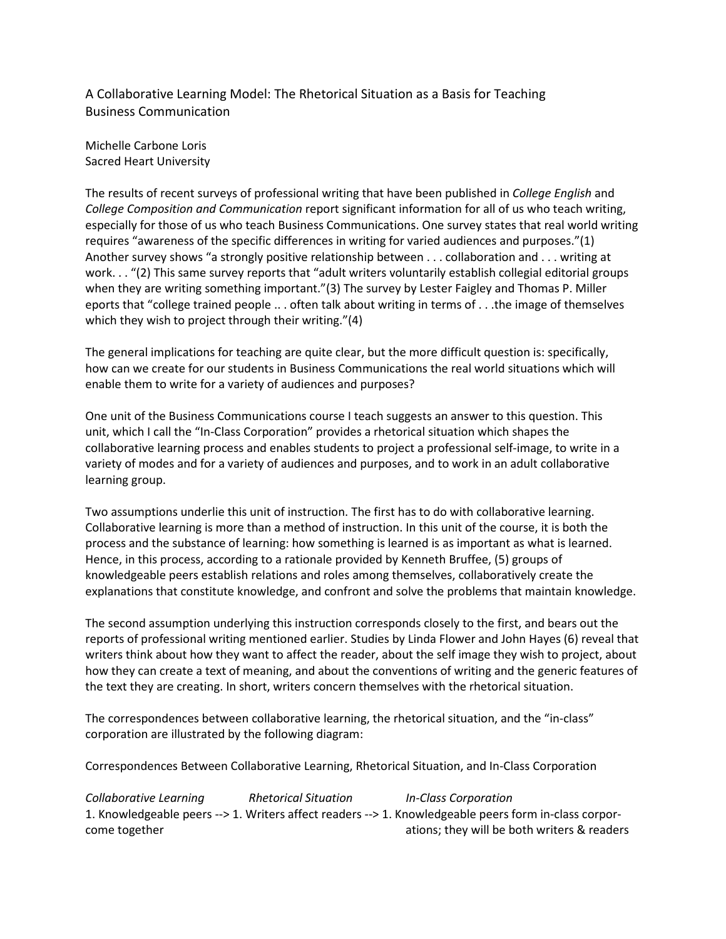A Collaborative Learning Model: The Rhetorical Situation as a Basis for Teaching Business Communication

Michelle Carbone Loris Sacred Heart University

The results of recent surveys of professional writing that have been published in College English and College Composition and Communication report significant information for all of us who teach writing, especially for those of us who teach Business Communications. One survey states that real world writing requires "awareness of the specific differences in writing for varied audiences and purposes."(1) Another survey shows "a strongly positive relationship between . . . collaboration and . . . writing at work. . . "(2) This same survey reports that "adult writers voluntarily establish collegial editorial groups when they are writing something important."(3) The survey by Lester Faigley and Thomas P. Miller eports that "college trained people .. . often talk about writing in terms of . . .the image of themselves which they wish to project through their writing."(4)

The general implications for teaching are quite clear, but the more difficult question is: specifically, how can we create for our students in Business Communications the real world situations which will enable them to write for a variety of audiences and purposes?

One unit of the Business Communications course I teach suggests an answer to this question. This unit, which I call the "In-Class Corporation" provides a rhetorical situation which shapes the collaborative learning process and enables students to project a professional self-image, to write in a variety of modes and for a variety of audiences and purposes, and to work in an adult collaborative learning group.

Two assumptions underlie this unit of instruction. The first has to do with collaborative learning. Collaborative learning is more than a method of instruction. In this unit of the course, it is both the process and the substance of learning: how something is learned is as important as what is learned. Hence, in this process, according to a rationale provided by Kenneth Bruffee, (5) groups of knowledgeable peers establish relations and roles among themselves, collaboratively create the explanations that constitute knowledge, and confront and solve the problems that maintain knowledge.

The second assumption underlying this instruction corresponds closely to the first, and bears out the reports of professional writing mentioned earlier. Studies by Linda Flower and John Hayes (6) reveal that writers think about how they want to affect the reader, about the self image they wish to project, about how they can create a text of meaning, and about the conventions of writing and the generic features of the text they are creating. In short, writers concern themselves with the rhetorical situation.

The correspondences between collaborative learning, the rhetorical situation, and the "in-class" corporation are illustrated by the following diagram:

Correspondences Between Collaborative Learning, Rhetorical Situation, and In-Class Corporation

Collaborative Learning Rhetorical Situation In-Class Corporation 1. Knowledgeable peers --> 1. Writers affect readers --> 1. Knowledgeable peers form in-class corporcome together ations; they will be both writers & readers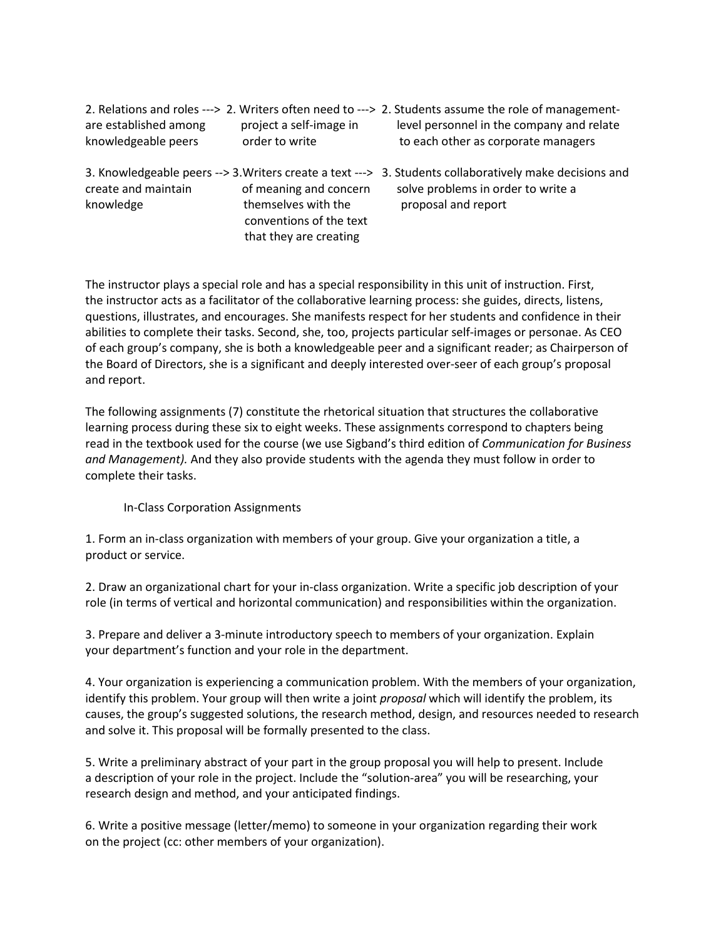|                       |                         | 2. Relations and roles ---> 2. Writers often need to ---> 2. Students assume the role of management-    |
|-----------------------|-------------------------|---------------------------------------------------------------------------------------------------------|
| are established among | project a self-image in | level personnel in the company and relate                                                               |
| knowledgeable peers   | order to write          | to each other as corporate managers                                                                     |
|                       |                         | 3. Knowledgeable peers --> 3. Writers create a text ---> 3. Students collaboratively make decisions and |

knowledge themselves with the proposal and report conventions of the text that they are creating

create and maintain of meaning and concern solve problems in order to write a

The instructor plays a special role and has a special responsibility in this unit of instruction. First, the instructor acts as a facilitator of the collaborative learning process: she guides, directs, listens, questions, illustrates, and encourages. She manifests respect for her students and confidence in their abilities to complete their tasks. Second, she, too, projects particular self-images or personae. As CEO of each group's company, she is both a knowledgeable peer and a significant reader; as Chairperson of the Board of Directors, she is a significant and deeply interested over-seer of each group's proposal and report.

The following assignments (7) constitute the rhetorical situation that structures the collaborative learning process during these six to eight weeks. These assignments correspond to chapters being read in the textbook used for the course (we use Sigband's third edition of Communication for Business and Management). And they also provide students with the agenda they must follow in order to complete their tasks.

In-Class Corporation Assignments

1. Form an in-class organization with members of your group. Give your organization a title, a product or service.

2. Draw an organizational chart for your in-class organization. Write a specific job description of your role (in terms of vertical and horizontal communication) and responsibilities within the organization.

3. Prepare and deliver a 3-minute introductory speech to members of your organization. Explain your department's function and your role in the department.

4. Your organization is experiencing a communication problem. With the members of your organization, identify this problem. Your group will then write a joint proposal which will identify the problem, its causes, the group's suggested solutions, the research method, design, and resources needed to research and solve it. This proposal will be formally presented to the class.

5. Write a preliminary abstract of your part in the group proposal you will help to present. Include a description of your role in the project. Include the "solution-area" you will be researching, your research design and method, and your anticipated findings.

6. Write a positive message (letter/memo) to someone in your organization regarding their work on the project (cc: other members of your organization).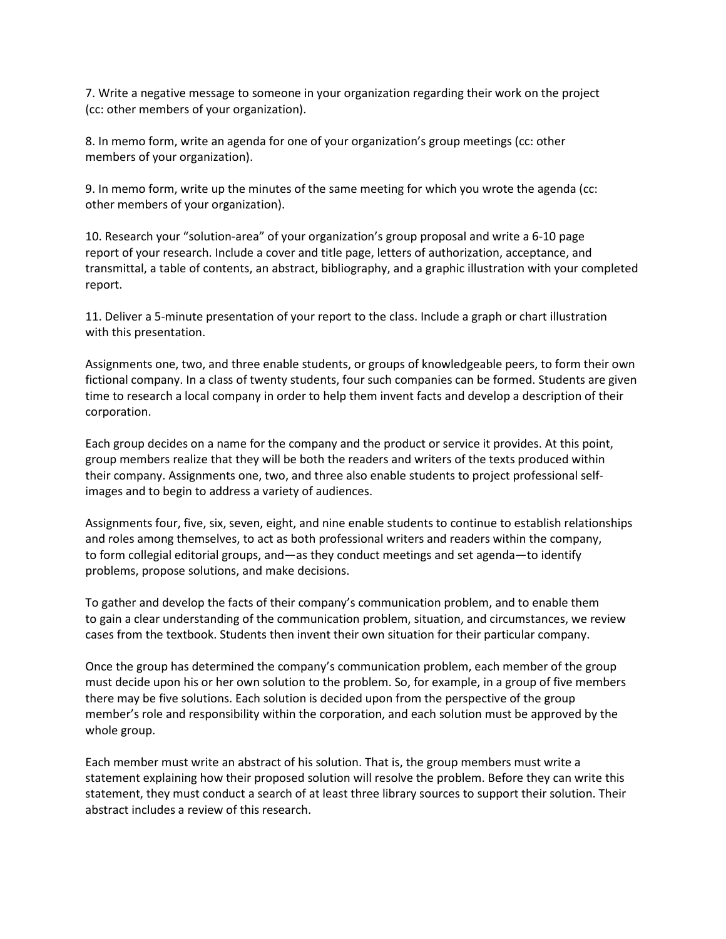7. Write a negative message to someone in your organization regarding their work on the project (cc: other members of your organization).

8. In memo form, write an agenda for one of your organization's group meetings (cc: other members of your organization).

9. In memo form, write up the minutes of the same meeting for which you wrote the agenda (cc: other members of your organization).

10. Research your "solution-area" of your organization's group proposal and write a 6-10 page report of your research. Include a cover and title page, letters of authorization, acceptance, and transmittal, a table of contents, an abstract, bibliography, and a graphic illustration with your completed report.

11. Deliver a 5-minute presentation of your report to the class. Include a graph or chart illustration with this presentation.

Assignments one, two, and three enable students, or groups of knowledgeable peers, to form their own fictional company. In a class of twenty students, four such companies can be formed. Students are given time to research a local company in order to help them invent facts and develop a description of their corporation.

Each group decides on a name for the company and the product or service it provides. At this point, group members realize that they will be both the readers and writers of the texts produced within their company. Assignments one, two, and three also enable students to project professional selfimages and to begin to address a variety of audiences.

Assignments four, five, six, seven, eight, and nine enable students to continue to establish relationships and roles among themselves, to act as both professional writers and readers within the company, to form collegial editorial groups, and—as they conduct meetings and set agenda—to identify problems, propose solutions, and make decisions.

To gather and develop the facts of their company's communication problem, and to enable them to gain a clear understanding of the communication problem, situation, and circumstances, we review cases from the textbook. Students then invent their own situation for their particular company.

Once the group has determined the company's communication problem, each member of the group must decide upon his or her own solution to the problem. So, for example, in a group of five members there may be five solutions. Each solution is decided upon from the perspective of the group member's role and responsibility within the corporation, and each solution must be approved by the whole group.

Each member must write an abstract of his solution. That is, the group members must write a statement explaining how their proposed solution will resolve the problem. Before they can write this statement, they must conduct a search of at least three library sources to support their solution. Their abstract includes a review of this research.